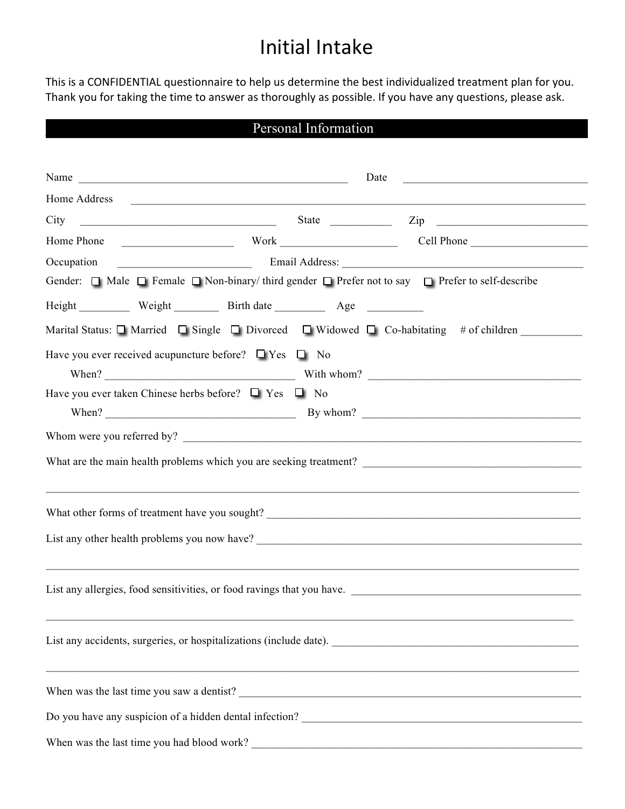# Initial Intake

This is a CONFIDENTIAL questionnaire to help us determine the best individualized treatment plan for you. Thank you for taking the time to answer as thoroughly as possible. If you have any questions, please ask.

## Personal Information

| Name $\frac{1}{\sqrt{1-\frac{1}{2}}\sqrt{1-\frac{1}{2}}\sqrt{1-\frac{1}{2}}\sqrt{1-\frac{1}{2}}\sqrt{1-\frac{1}{2}}\sqrt{1-\frac{1}{2}}\sqrt{1-\frac{1}{2}}\sqrt{1-\frac{1}{2}}\sqrt{1-\frac{1}{2}}\sqrt{1-\frac{1}{2}}\sqrt{1-\frac{1}{2}}\sqrt{1-\frac{1}{2}}\sqrt{1-\frac{1}{2}}\sqrt{1-\frac{1}{2}}\sqrt{1-\frac{1}{2}}\sqrt{1-\frac{1}{2}}\sqrt{1-\frac{1}{2}}\sqrt{1-\frac{1}{2}}\sqrt{1-\frac{1}{2}}\$ | Date | <u> 1989 - Johann John Stone, meilich aus der Stone († 1989)</u>                                               |
|---------------------------------------------------------------------------------------------------------------------------------------------------------------------------------------------------------------------------------------------------------------------------------------------------------------------------------------------------------------------------------------------------------------|------|----------------------------------------------------------------------------------------------------------------|
| Home Address                                                                                                                                                                                                                                                                                                                                                                                                  |      | <u> 1989 - Johann Stoff, amerikansk politiker (d. 1989)</u>                                                    |
|                                                                                                                                                                                                                                                                                                                                                                                                               |      |                                                                                                                |
| Home Phone                                                                                                                                                                                                                                                                                                                                                                                                    |      | Work Cell Phone                                                                                                |
| Occupation                                                                                                                                                                                                                                                                                                                                                                                                    |      | Email Address: Email Address:                                                                                  |
| Gender: $\Box$ Male $\Box$ Female $\Box$ Non-binary/third gender $\Box$ Prefer not to say $\Box$ Prefer to self-describe                                                                                                                                                                                                                                                                                      |      |                                                                                                                |
|                                                                                                                                                                                                                                                                                                                                                                                                               |      |                                                                                                                |
|                                                                                                                                                                                                                                                                                                                                                                                                               |      | Marital Status: $\Box$ Married $\Box$ Single $\Box$ Divorced $\Box$ Widowed $\Box$ Co-habitating # of children |
| Have you ever received acupuncture before? $\Box$ Yes $\Box$ No                                                                                                                                                                                                                                                                                                                                               |      |                                                                                                                |
|                                                                                                                                                                                                                                                                                                                                                                                                               |      |                                                                                                                |
| Have you ever taken Chinese herbs before? $\Box$ Yes $\Box$ No                                                                                                                                                                                                                                                                                                                                                |      |                                                                                                                |
|                                                                                                                                                                                                                                                                                                                                                                                                               |      |                                                                                                                |
|                                                                                                                                                                                                                                                                                                                                                                                                               |      |                                                                                                                |
|                                                                                                                                                                                                                                                                                                                                                                                                               |      |                                                                                                                |
|                                                                                                                                                                                                                                                                                                                                                                                                               |      |                                                                                                                |
|                                                                                                                                                                                                                                                                                                                                                                                                               |      |                                                                                                                |
|                                                                                                                                                                                                                                                                                                                                                                                                               |      |                                                                                                                |
|                                                                                                                                                                                                                                                                                                                                                                                                               |      |                                                                                                                |
|                                                                                                                                                                                                                                                                                                                                                                                                               |      |                                                                                                                |
|                                                                                                                                                                                                                                                                                                                                                                                                               |      |                                                                                                                |
|                                                                                                                                                                                                                                                                                                                                                                                                               |      |                                                                                                                |
|                                                                                                                                                                                                                                                                                                                                                                                                               |      |                                                                                                                |
|                                                                                                                                                                                                                                                                                                                                                                                                               |      |                                                                                                                |
|                                                                                                                                                                                                                                                                                                                                                                                                               |      |                                                                                                                |
|                                                                                                                                                                                                                                                                                                                                                                                                               |      |                                                                                                                |
|                                                                                                                                                                                                                                                                                                                                                                                                               |      |                                                                                                                |
| When was the last time you had blood work?                                                                                                                                                                                                                                                                                                                                                                    |      |                                                                                                                |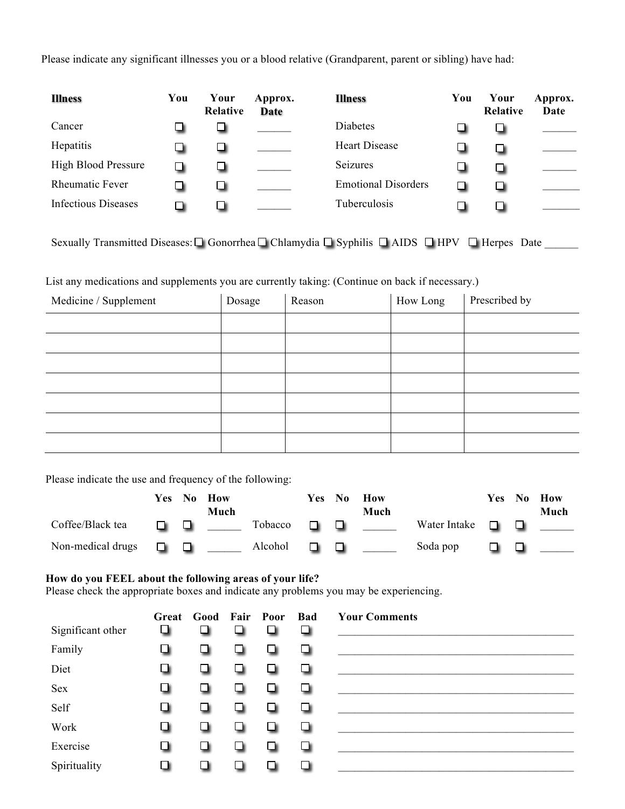Please indicate any significant illnesses you or a blood relative (Grandparent, parent or sibling) have had:

| <b>Illness</b>             | You | Your<br>Relative | Approx.<br>Date | <b>Illness</b>             | You | Your<br><b>Relative</b> | Approx.<br>Date |
|----------------------------|-----|------------------|-----------------|----------------------------|-----|-------------------------|-----------------|
| Cancer                     | ப   | ப                |                 | <b>Diabetes</b>            |     |                         |                 |
| Hepatitis                  | ப   | ┙                |                 | <b>Heart Disease</b>       | ⊔   |                         |                 |
| <b>High Blood Pressure</b> | ❏   | ப                |                 | Seizures                   | ᆸ   |                         |                 |
| <b>Rheumatic Fever</b>     | ப   | ш                |                 | <b>Emotional Disorders</b> | ப   |                         |                 |
| Infectious Diseases        | ப   | ப                |                 | Tuberculosis               |     |                         |                 |

Sexually Transmitted Diseases:  $\Box$  Gonorrhea  $\Box$  Chlamydia  $\Box$  Syphilis  $\Box$  AIDS  $\Box$  HPV  $\Box$  Herpes Date

List any medications and supplements you are currently taking: (Continue on back if necessary.)

| Medicine / Supplement | Dosage | Reason | How Long | Prescribed by |
|-----------------------|--------|--------|----------|---------------|
|                       |        |        |          |               |
|                       |        |        |          |               |
|                       |        |        |          |               |
|                       |        |        |          |               |
|                       |        |        |          |               |
|                       |        |        |          |               |
|                       |        |        |          |               |

Please indicate the use and frequency of the following:

|                   | Yes No |                   | How<br>Much |                | Yes No | How<br>Much |                     |     | Yes No How<br>Much |
|-------------------|--------|-------------------|-------------|----------------|--------|-------------|---------------------|-----|--------------------|
| Coffee/Black tea  | .      |                   |             | Tobacco        |        |             | Water Intake $\Box$ |     |                    |
| Non-medical drugs |        | <b>CONTRACTOR</b> |             | Alcohol $\Box$ |        |             | Soda pop            | . . |                    |

#### **How do you FEEL about the following areas of your life?**

Please check the appropriate boxes and indicate any problems you may be experiencing.

|                   |               | Great Good Fair Poor |     |                | Bad | <b>Your Comments</b> |
|-------------------|---------------|----------------------|-----|----------------|-----|----------------------|
| Significant other | o             | m                    |     | П              | ❏   |                      |
| Family            | ❏             | . .                  |     | ப              | ❏   |                      |
| Diet              | u             | ш                    |     | ш              | о   |                      |
| Sex               | ❏             | ш                    |     | ப              | ▫   |                      |
| Self              | o             | ப                    | . . | П              | o   |                      |
| Work              | ▫             | L.                   |     | п              | ❏   |                      |
| Exercise          | ш             | . .                  |     | ш              | ❏   |                      |
| Spirituality      | $\mathcal{L}$ |                      |     | $\blacksquare$ | Π   |                      |
|                   |               |                      |     |                |     |                      |